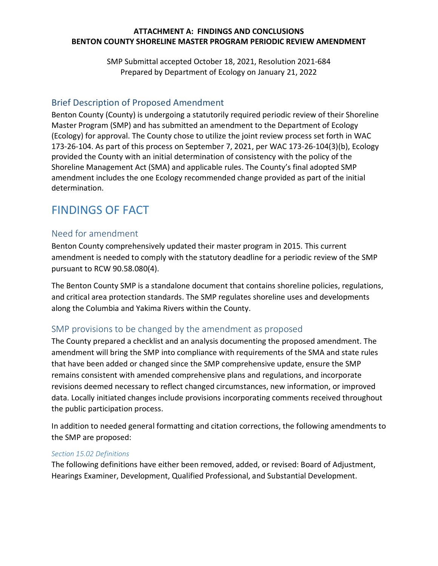### **ATTACHMENT A: FINDINGS AND CONCLUSIONS BENTON COUNTY SHORELINE MASTER PROGRAM PERIODIC REVIEW AMENDMENT**

SMP Submittal accepted October 18, 2021, Resolution 2021-684 Prepared by Department of Ecology on January 21, 2022

## Brief Description of Proposed Amendment

Benton County (County) is undergoing a statutorily required periodic review of their Shoreline Master Program (SMP) and has submitted an amendment to the Department of Ecology (Ecology) for approval. The County chose to utilize the joint review process set forth in WAC 173-26-104. As part of this process on September 7, 2021, per WAC 173-26-104(3)(b), Ecology provided the County with an initial determination of consistency with the policy of the Shoreline Management Act (SMA) and applicable rules. The County's final adopted SMP amendment includes the one Ecology recommended change provided as part of the initial determination.

# FINDINGS OF FACT

## Need for amendment

Benton County comprehensively updated their master program in 2015. This current amendment is needed to comply with the statutory deadline for a periodic review of the SMP pursuant to RCW 90.58.080(4).

The Benton County SMP is a standalone document that contains shoreline policies, regulations, and critical area protection standards. The SMP regulates shoreline uses and developments along the Columbia and Yakima Rivers within the County.

## SMP provisions to be changed by the amendment as proposed

The County prepared a checklist and an analysis documenting the proposed amendment. The amendment will bring the SMP into compliance with requirements of the SMA and state rules that have been added or changed since the SMP comprehensive update, ensure the SMP remains consistent with amended comprehensive plans and regulations, and incorporate revisions deemed necessary to reflect changed circumstances, new information, or improved data. Locally initiated changes include provisions incorporating comments received throughout the public participation process.

In addition to needed general formatting and citation corrections, the following amendments to the SMP are proposed:

#### *Section 15.02 Definitions*

The following definitions have either been removed, added, or revised: Board of Adjustment, Hearings Examiner, Development, Qualified Professional, and Substantial Development.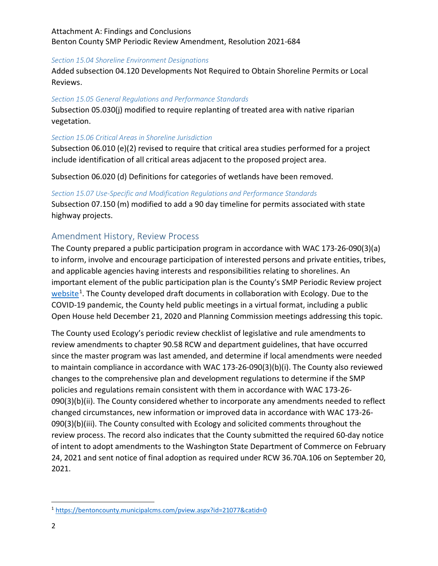#### *Section 15.04 Shoreline Environment Designations*

Added subsection 04.120 Developments Not Required to Obtain Shoreline Permits or Local Reviews.

#### *Section 15.05 General Regulations and Performance Standards*

Subsection 05.030(j) modified to require replanting of treated area with native riparian vegetation.

#### *Section 15.06 Critical Areas in Shoreline Jurisdiction*

Subsection 06.010 (e)(2) revised to require that critical area studies performed for a project include identification of all critical areas adjacent to the proposed project area.

Subsection 06.020 (d) Definitions for categories of wetlands have been removed.

#### *Section 15.07 Use-Specific and Modification Regulations and Performance Standards*

Subsection 07.150 (m) modified to add a 90 day timeline for permits associated with state highway projects.

## Amendment History, Review Process

The County prepared a public participation program in accordance with WAC 173-26-090(3)(a) to inform, involve and encourage participation of interested persons and private entities, tribes, and applicable agencies having interests and responsibilities relating to shorelines. An important element of the public participation plan is the County's SMP Periodic Review project [website](https://bentoncounty.municipalcms.com/pview.aspx?id=21077&catid=0)<sup>[1](#page-1-0)</sup>. The County developed draft documents in collaboration with Ecology. Due to the COVID-19 pandemic, the County held public meetings in a virtual format, including a public Open House held December 21, 2020 and Planning Commission meetings addressing this topic.

The County used Ecology's periodic review checklist of legislative and rule amendments to review amendments to chapter 90.58 RCW and department guidelines, that have occurred since the master program was last amended, and determine if local amendments were needed to maintain compliance in accordance with WAC 173-26-090(3)(b)(i). The County also reviewed changes to the comprehensive plan and development regulations to determine if the SMP policies and regulations remain consistent with them in accordance with WAC 173-26- 090(3)(b)(ii). The County considered whether to incorporate any amendments needed to reflect changed circumstances, new information or improved data in accordance with WAC 173-26- 090(3)(b)(iii). The County consulted with Ecology and solicited comments throughout the review process. The record also indicates that the County submitted the required 60-day notice of intent to adopt amendments to the Washington State Department of Commerce on February 24, 2021 and sent notice of final adoption as required under RCW 36.70A.106 on September 20, 2021.

<span id="page-1-0"></span> <sup>1</sup> <https://bentoncounty.municipalcms.com/pview.aspx?id=21077&catid=0>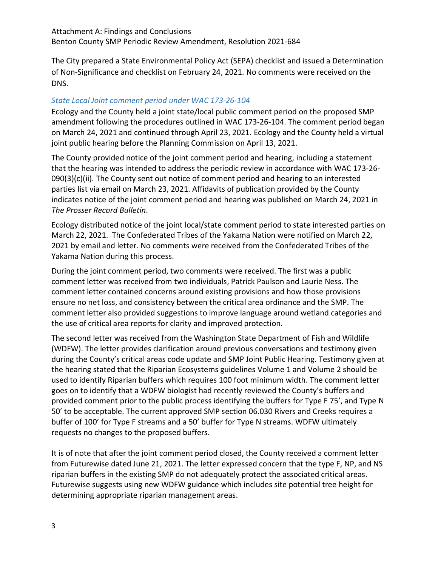The City prepared a State Environmental Policy Act (SEPA) checklist and issued a Determination of Non-Significance and checklist on February 24, 2021. No comments were received on the DNS.

## *State Local Joint comment period under WAC 173-26-104*

Ecology and the County held a joint state/local public comment period on the proposed SMP amendment following the procedures outlined in WAC 173-26-104. The comment period began on March 24, 2021 and continued through April 23, 2021. Ecology and the County held a virtual joint public hearing before the Planning Commission on April 13, 2021.

The County provided notice of the joint comment period and hearing, including a statement that the hearing was intended to address the periodic review in accordance with WAC 173-26-  $090(3)(c)(ii)$ . The County sent out notice of comment period and hearing to an interested parties list via email on March 23, 2021. Affidavits of publication provided by the County indicates notice of the joint comment period and hearing was published on March 24, 2021 in *The Prosser Record Bulletin*.

Ecology distributed notice of the joint local/state comment period to state interested parties on March 22, 2021. The Confederated Tribes of the Yakama Nation were notified on March 22, 2021 by email and letter. No comments were received from the Confederated Tribes of the Yakama Nation during this process.

During the joint comment period, two comments were received. The first was a public comment letter was received from two individuals, Patrick Paulson and Laurie Ness. The comment letter contained concerns around existing provisions and how those provisions ensure no net loss, and consistency between the critical area ordinance and the SMP. The comment letter also provided suggestions to improve language around wetland categories and the use of critical area reports for clarity and improved protection.

The second letter was received from the Washington State Department of Fish and Wildlife (WDFW). The letter provides clarification around previous conversations and testimony given during the County's critical areas code update and SMP Joint Public Hearing. Testimony given at the hearing stated that the Riparian Ecosystems guidelines Volume 1 and Volume 2 should be used to identify Riparian buffers which requires 100 foot minimum width. The comment letter goes on to identify that a WDFW biologist had recently reviewed the County's buffers and provided comment prior to the public process identifying the buffers for Type F 75', and Type N 50' to be acceptable. The current approved SMP section 06.030 Rivers and Creeks requires a buffer of 100' for Type F streams and a 50' buffer for Type N streams. WDFW ultimately requests no changes to the proposed buffers.

It is of note that after the joint comment period closed, the County received a comment letter from Futurewise dated June 21, 2021. The letter expressed concern that the type F, NP, and NS riparian buffers in the existing SMP do not adequately protect the associated critical areas. Futurewise suggests using new WDFW guidance which includes site potential tree height for determining appropriate riparian management areas.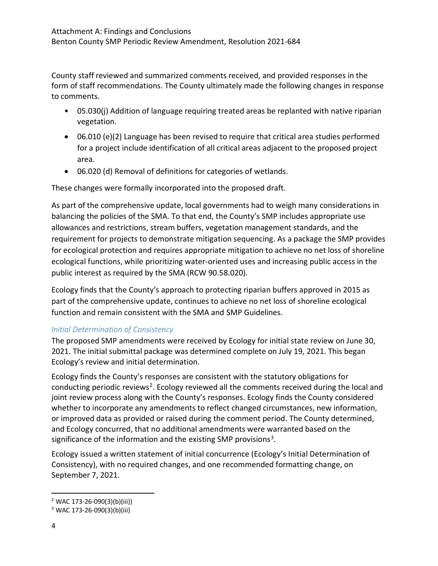County staff reviewed and summarized comments received, and provided responses in the form of staff recommendations. The County ultimately made the following changes in response to comments.

- 05.030(j) Addition of language requiring treated areas be replanted with native riparian vegetation.
- 06.010 (e)(2) Language has been revised to require that critical area studies performed for a project include identification of all critical areas adjacent to the proposed project area.
- 06.020 (d) Removal of definitions for categories of wetlands.

These changes were formally incorporated into the proposed draft.

As part of the comprehensive update, local governments had to weigh many considerations in balancing the policies of the SMA. To that end, the County's SMP includes appropriate use allowances and restrictions, stream buffers, vegetation management standards, and the requirement for projects to demonstrate mitigation sequencing. As a package the SMP provides for ecological protection and requires appropriate mitigation to achieve no net loss of shoreline ecological functions, while prioritizing water-oriented uses and increasing public access in the public interest as required by the SMA (RCW 90.58.020).

Ecology finds that the County's approach to protecting riparian buffers approved in 2015 as part of the comprehensive update, continues to achieve no net loss of shoreline ecological function and remain consistent with the SMA and SMP Guidelines.

## *Initial Determination of Consistency*

The proposed SMP amendments were received by Ecology for initial state review on June 30, 2021. The initial submittal package was determined complete on July 19, 2021. This began Ecology's review and initial determination.

Ecology finds the County's responses are consistent with the statutory obligations for conducting periodic reviews<sup>[2](#page-3-0)</sup>. Ecology reviewed all the comments received during the local and joint review process along with the County's responses. Ecology finds the County considered whether to incorporate any amendments to reflect changed circumstances, new information, or improved data as provided or raised during the comment period. The County determined, and Ecology concurred, that no additional amendments were warranted based on the significance of the information and the existing SMP provisions<sup>[3](#page-3-1)</sup>.

Ecology issued a written statement of initial concurrence (Ecology's Initial Determination of Consistency), with no required changes, and one recommended formatting change, on September 7, 2021.

<span id="page-3-0"></span> <sup>2</sup> WAC 173-26-090(3)(b)(iii))

<span id="page-3-1"></span><sup>3</sup> WAC 173-26-090(3)(b)(iii)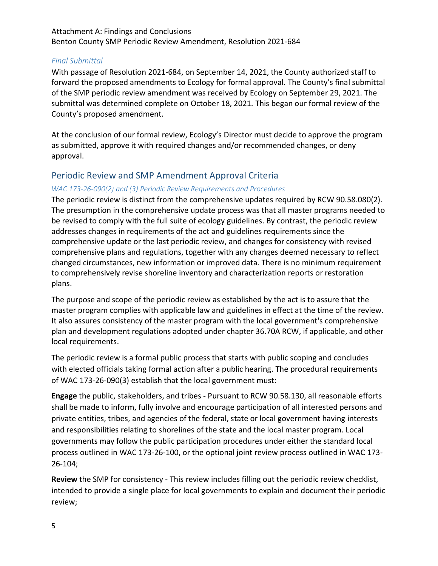### *Final Submittal*

With passage of Resolution 2021-684, on September 14, 2021, the County authorized staff to forward the proposed amendments to Ecology for formal approval. The County's final submittal of the SMP periodic review amendment was received by Ecology on September 29, 2021. The submittal was determined complete on October 18, 2021. This began our formal review of the County's proposed amendment.

At the conclusion of our formal review, Ecology's Director must decide to approve the program as submitted, approve it with required changes and/or recommended changes, or deny approval.

## Periodic Review and SMP Amendment Approval Criteria

#### *WAC 173-26-090(2) and (3) Periodic Review Requirements and Procedures*

The periodic review is distinct from the comprehensive updates required by RCW [90.58.080\(](http://app.leg.wa.gov/RCW/default.aspx?cite=90.58.080)2). The presumption in the comprehensive update process was that all master programs needed to be revised to comply with the full suite of ecology guidelines. By contrast, the periodic review addresses changes in requirements of the act and guidelines requirements since the comprehensive update or the last periodic review, and changes for consistency with revised comprehensive plans and regulations, together with any changes deemed necessary to reflect changed circumstances, new information or improved data. There is no minimum requirement to comprehensively revise shoreline inventory and characterization reports or restoration plans.

The purpose and scope of the periodic review as established by the act is to assure that the master program complies with applicable law and guidelines in effect at the time of the review. It also assures consistency of the master program with the local government's comprehensive plan and development regulations adopted under chapter 36.70A RCW, if applicable, and other local requirements.

The periodic review is a formal public process that starts with public scoping and concludes with elected officials taking formal action after a public hearing. The procedural requirements of WAC 173-26-090(3) establish that the local government must:

**Engage** the public, stakeholders, and tribes - Pursuant to RCW [90.58.130,](http://app.leg.wa.gov/RCW/default.aspx?cite=90.58.130) all reasonable efforts shall be made to inform, fully involve and encourage participation of all interested persons and private entities, tribes, and agencies of the federal, state or local government having interests and responsibilities relating to shorelines of the state and the local master program. Local governments may follow the public participation procedures under either the standard local process outlined in WAC [173-26-100,](https://apps.leg.wa.gov/WAC/default.aspx?cite=173-26-100) or the optional joint review process outlined in WAC [173-](https://apps.leg.wa.gov/WAC/default.aspx?cite=173-26-104) [26-104;](https://apps.leg.wa.gov/WAC/default.aspx?cite=173-26-104)

**Review** the SMP for consistency - This review includes filling out the periodic review checklist, intended to provide a single place for local governments to explain and document their periodic review;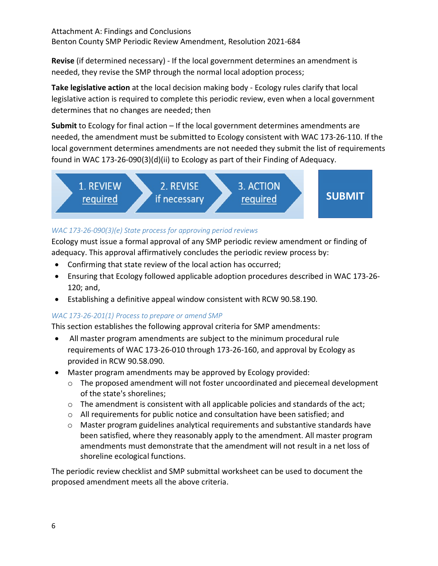**Revise** (if determined necessary) - If the local government determines an amendment is needed, they revise the SMP through the normal local adoption process;

**Take legislative action** at the local decision making body - Ecology rules clarify that local legislative action is required to complete this periodic review, even when a local government determines that no changes are needed; then

**Submit** to Ecology for final action – If the local government determines amendments are needed, the amendment must be submitted to Ecology consistent with WAC [173-26-110.](https://apps.leg.wa.gov/WAC/default.aspx?cite=173-26-110) If the local government determines amendments are not needed they submit the list of requirements found in WAC 173-26-090(3)(d)(ii) to Ecology as part of their Finding of Adequacy.



## *WAC 173-26-090(3)(e) State process for approving period reviews*

Ecology must issue a formal approval of any SMP periodic review amendment or finding of adequacy. This approval affirmatively concludes the periodic review process by:

- Confirming that state review of the local action has occurred;
- Ensuring that Ecology followed applicable adoption procedures described in WAC 173-26- 120; and,
- Establishing a definitive appeal window consistent with RCW [90.58.190.](http://app.leg.wa.gov/RCW/default.aspx?cite=90.58.190)

## *WAC 173-26-201(1) Process to prepare or amend SMP*

This section establishes the following approval criteria for SMP amendments:

- All master program amendments are subject to the minimum procedural rule requirements of WAC 173-26-010 through 173-26-160, and approval by Ecology as provided in RCW 90.58.090.
- Master program amendments may be approved by Ecology provided:
	- o The proposed amendment will not foster uncoordinated and piecemeal development of the state's shorelines;
	- $\circ$  The amendment is consistent with all applicable policies and standards of the act;
	- o All requirements for public notice and consultation have been satisfied; and
	- o Master program guidelines analytical requirements and substantive standards have been satisfied, where they reasonably apply to the amendment. All master program amendments must demonstrate that the amendment will not result in a net loss of shoreline ecological functions.

The periodic review checklist and SMP submittal worksheet can be used to document the proposed amendment meets all the above criteria.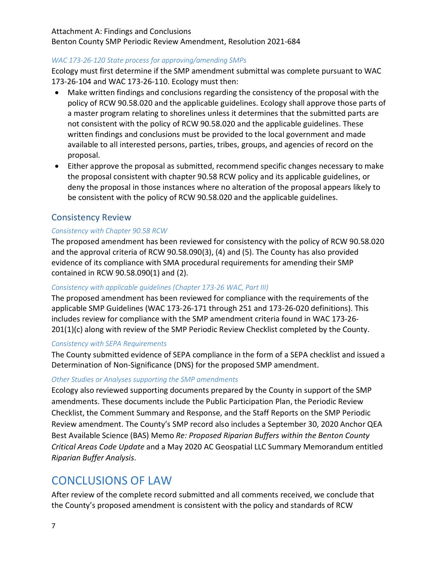#### Attachment A: Findings and Conclusions

Benton County SMP Periodic Review Amendment, Resolution 2021-684

#### *WAC 173-26-120 State process for approving/amending SMPs*

Ecology must first determine if the SMP amendment submittal was complete pursuant to WAC 173-26-104 and WAC 173-26-110. Ecology must then:

- Make written findings and conclusions regarding the consistency of the proposal with the policy of RCW 90.58.020 and the applicable guidelines. Ecology shall approve those parts of a master program relating to shorelines unless it determines that the submitted parts are not consistent with the policy of RCW [90.58.020](http://app.leg.wa.gov/RCW/default.aspx?cite=90.58.020) and the applicable guidelines. These written findings and conclusions must be provided to the local government and made available to all interested persons, parties, tribes, groups, and agencies of record on the proposal.
- Either approve the proposal as submitted, recommend specific changes necessary to make the proposal consistent with chapter [90.58](http://app.leg.wa.gov/RCW/default.aspx?cite=90.58) RCW policy and its applicable guidelines, or deny the proposal in those instances where no alteration of the proposal appears likely to be consistent with the policy of RCW [90.58.020](http://app.leg.wa.gov/RCW/default.aspx?cite=90.58.020) and the applicable guidelines.

## Consistency Review

#### *Consistency with Chapter 90.58 RCW*

The proposed amendment has been reviewed for consistency with the policy of RCW 90.58.020 and the approval criteria of RCW 90.58.090(3), (4) and (5). The County has also provided evidence of its compliance with SMA procedural requirements for amending their SMP contained in RCW 90.58.090(1) and (2).

#### *Consistency with applicable guidelines (Chapter 173-26 WAC, Part III)*

The proposed amendment has been reviewed for compliance with the requirements of the applicable SMP Guidelines (WAC 173-26-171 through 251 and 173-26-020 definitions). This includes review for compliance with the SMP amendment criteria found in WAC 173-26- 201(1)(c) along with review of the SMP Periodic Review Checklist completed by the County.

#### *Consistency with SEPA Requirements*

The County submitted evidence of SEPA compliance in the form of a SEPA checklist and issued a Determination of Non-Significance (DNS) for the proposed SMP amendment.

#### *Other Studies or Analyses supporting the SMP amendments*

Ecology also reviewed supporting documents prepared by the County in support of the SMP amendments. These documents include the Public Participation Plan, the Periodic Review Checklist, the Comment Summary and Response, and the Staff Reports on the SMP Periodic Review amendment. The County's SMP record also includes a September 30, 2020 Anchor QEA Best Available Science (BAS) Memo *Re: Proposed Riparian Buffers within the Benton County Critical Areas Code Update* and a May 2020 AC Geospatial LLC Summary Memorandum entitled *Riparian Buffer Analysis*.

# CONCLUSIONS OF LAW

After review of the complete record submitted and all comments received, we conclude that the County's proposed amendment is consistent with the policy and standards of RCW